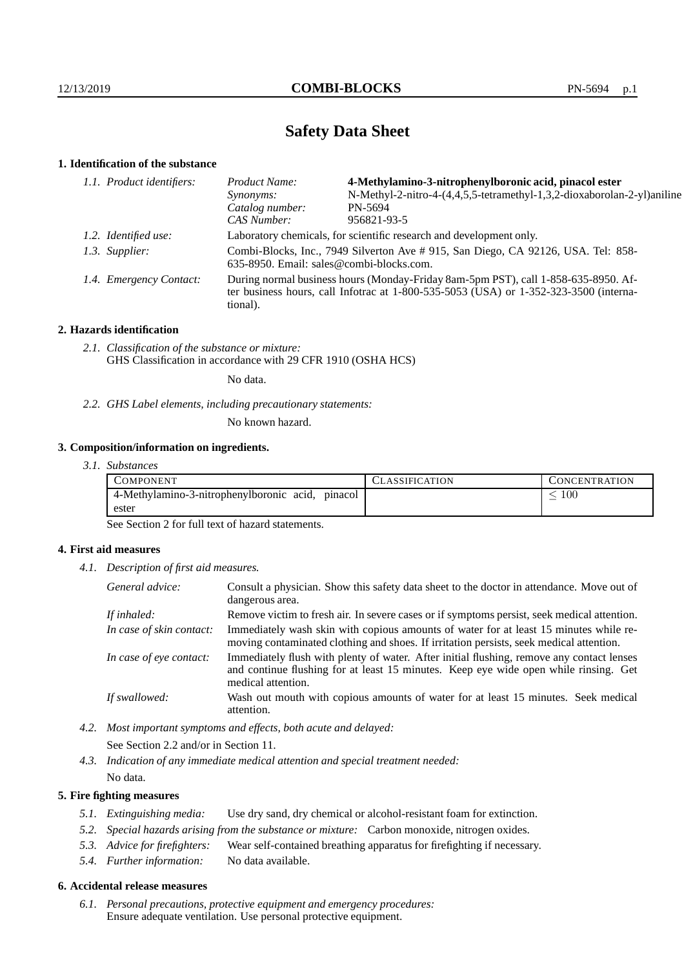# **Safety Data Sheet**

# **1. Identification of the substance**

| 1.1. Product identifiers: |                         | Product Name:                                                                                                                                                                           | 4-Methylamino-3-nitrophenylboronic acid, pinacol ester                  |  |
|---------------------------|-------------------------|-----------------------------------------------------------------------------------------------------------------------------------------------------------------------------------------|-------------------------------------------------------------------------|--|
|                           |                         | Synonyms:                                                                                                                                                                               | N-Methyl-2-nitro-4-(4,4,5,5-tetramethyl-1,3,2-dioxaborolan-2-yl)aniline |  |
|                           |                         | Catalog number:                                                                                                                                                                         | PN-5694                                                                 |  |
|                           |                         | CAS Number:                                                                                                                                                                             | 956821-93-5                                                             |  |
|                           | 1.2. Identified use:    | Laboratory chemicals, for scientific research and development only.                                                                                                                     |                                                                         |  |
|                           | 1.3. Supplier:          | Combi-Blocks, Inc., 7949 Silverton Ave #915, San Diego, CA 92126, USA. Tel: 858-<br>635-8950. Email: sales@combi-blocks.com.                                                            |                                                                         |  |
|                           | 1.4. Emergency Contact: | During normal business hours (Monday-Friday 8am-5pm PST), call 1-858-635-8950. Af-<br>ter business hours, call Infotrac at 1-800-535-5053 (USA) or 1-352-323-3500 (interna-<br>tional). |                                                                         |  |

### **2. Hazards identification**

*2.1. Classification of the substance or mixture:* GHS Classification in accordance with 29 CFR 1910 (OSHA HCS)

No data.

*2.2. GHS Label elements, including precautionary statements:*

No known hazard.

## **3. Composition/information on ingredients.**

*3.1. Substances*

| COMPONENT                                           | CLASSIFICATION | CONCENTRATION   |
|-----------------------------------------------------|----------------|-----------------|
| 4-Methylamino-3-nitrophenylboronic acid,<br>pinacol |                | $\overline{00}$ |
| ester                                               |                |                 |

See Section 2 for full text of hazard statements.

## **4. First aid measures**

*4.1. Description of first aid measures.*

| General advice:          | Consult a physician. Show this safety data sheet to the doctor in attendance. Move out of<br>dangerous area.                                                                                            |
|--------------------------|---------------------------------------------------------------------------------------------------------------------------------------------------------------------------------------------------------|
| If inhaled:              | Remove victim to fresh air. In severe cases or if symptoms persist, seek medical attention.                                                                                                             |
| In case of skin contact: | Immediately wash skin with copious amounts of water for at least 15 minutes while re-<br>moving contaminated clothing and shoes. If irritation persists, seek medical attention.                        |
| In case of eye contact:  | Immediately flush with plenty of water. After initial flushing, remove any contact lenses<br>and continue flushing for at least 15 minutes. Keep eye wide open while rinsing. Get<br>medical attention. |
| If swallowed:            | Wash out mouth with copious amounts of water for at least 15 minutes. Seek medical<br>attention.                                                                                                        |

*4.2. Most important symptoms and effects, both acute and delayed:*

See Section 2.2 and/or in Section 11.

*4.3. Indication of any immediate medical attention and special treatment needed:*

# No data.

# **5. Fire fighting measures**

- *5.1. Extinguishing media:* Use dry sand, dry chemical or alcohol-resistant foam for extinction.
- *5.2. Special hazards arising from the substance or mixture:* Carbon monoxide, nitrogen oxides.
- *5.3. Advice for firefighters:* Wear self-contained breathing apparatus for firefighting if necessary.
- *5.4. Further information:* No data available.

## **6. Accidental release measures**

*6.1. Personal precautions, protective equipment and emergency procedures:* Ensure adequate ventilation. Use personal protective equipment.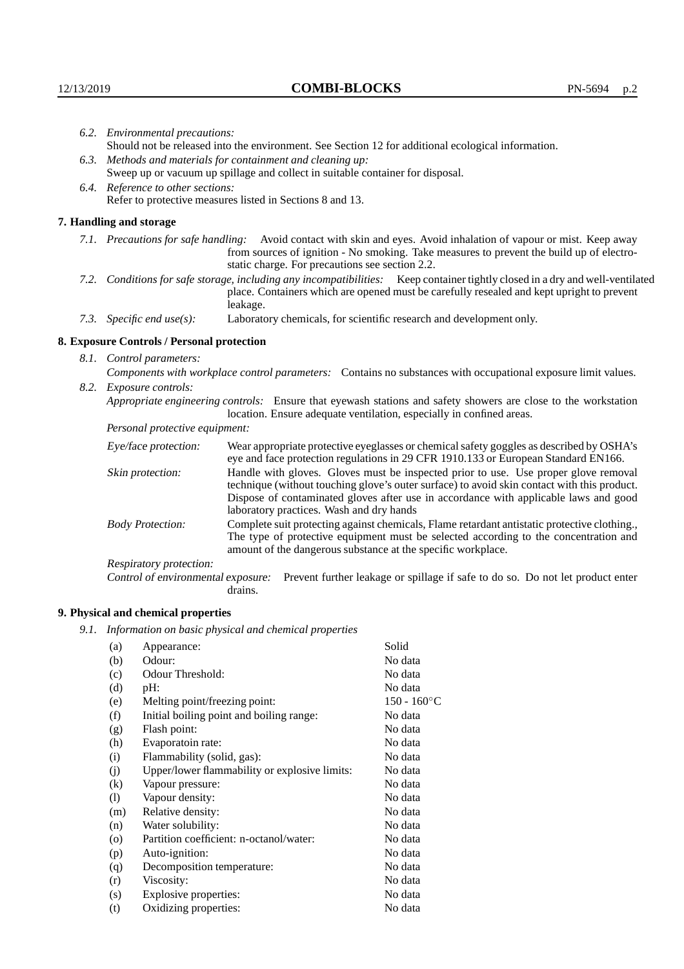|                          | 6.2. Environmental precautions:                                                                                                                                                                                                                                    |                                                                                                                                                                                                                                                                                                                        |  |
|--------------------------|--------------------------------------------------------------------------------------------------------------------------------------------------------------------------------------------------------------------------------------------------------------------|------------------------------------------------------------------------------------------------------------------------------------------------------------------------------------------------------------------------------------------------------------------------------------------------------------------------|--|
|                          | Should not be released into the environment. See Section 12 for additional ecological information.                                                                                                                                                                 |                                                                                                                                                                                                                                                                                                                        |  |
|                          | 6.3. Methods and materials for containment and cleaning up:                                                                                                                                                                                                        |                                                                                                                                                                                                                                                                                                                        |  |
|                          | Sweep up or vacuum up spillage and collect in suitable container for disposal.                                                                                                                                                                                     |                                                                                                                                                                                                                                                                                                                        |  |
|                          | 6.4. Reference to other sections:                                                                                                                                                                                                                                  |                                                                                                                                                                                                                                                                                                                        |  |
|                          |                                                                                                                                                                                                                                                                    | Refer to protective measures listed in Sections 8 and 13.                                                                                                                                                                                                                                                              |  |
|                          | 7. Handling and storage                                                                                                                                                                                                                                            |                                                                                                                                                                                                                                                                                                                        |  |
|                          | 7.1. Precautions for safe handling: Avoid contact with skin and eyes. Avoid inhalation of vapour or mist. Keep away<br>from sources of ignition - No smoking. Take measures to prevent the build up of electro-<br>static charge. For precautions see section 2.2. |                                                                                                                                                                                                                                                                                                                        |  |
|                          |                                                                                                                                                                                                                                                                    | 7.2. Conditions for safe storage, including any incompatibilities: Keep container tightly closed in a dry and well-ventilated<br>place. Containers which are opened must be carefully resealed and kept upright to prevent<br>leakage.                                                                                 |  |
|                          | 7.3. Specific end use(s):                                                                                                                                                                                                                                          | Laboratory chemicals, for scientific research and development only.                                                                                                                                                                                                                                                    |  |
|                          | 8. Exposure Controls / Personal protection                                                                                                                                                                                                                         |                                                                                                                                                                                                                                                                                                                        |  |
| 8.1. Control parameters: |                                                                                                                                                                                                                                                                    |                                                                                                                                                                                                                                                                                                                        |  |
|                          | Components with workplace control parameters: Contains no substances with occupational exposure limit values.                                                                                                                                                      |                                                                                                                                                                                                                                                                                                                        |  |
|                          | 8.2. Exposure controls:                                                                                                                                                                                                                                            |                                                                                                                                                                                                                                                                                                                        |  |
|                          |                                                                                                                                                                                                                                                                    | Appropriate engineering controls: Ensure that eyewash stations and safety showers are close to the workstation<br>location. Ensure adequate ventilation, especially in confined areas.                                                                                                                                 |  |
|                          | Personal protective equipment:                                                                                                                                                                                                                                     |                                                                                                                                                                                                                                                                                                                        |  |
|                          | Eye/face protection:                                                                                                                                                                                                                                               | Wear appropriate protective eyeglasses or chemical safety goggles as described by OSHA's<br>eye and face protection regulations in 29 CFR 1910.133 or European Standard EN166.                                                                                                                                         |  |
|                          | Skin protection:                                                                                                                                                                                                                                                   | Handle with gloves. Gloves must be inspected prior to use. Use proper glove removal<br>technique (without touching glove's outer surface) to avoid skin contact with this product.<br>Dispose of contaminated gloves after use in accordance with applicable laws and good<br>laboratory practices. Wash and dry hands |  |
|                          | <b>Body Protection:</b>                                                                                                                                                                                                                                            | Complete suit protecting against chemicals, Flame retardant antistatic protective clothing.,<br>The type of protective equipment must be selected according to the concentration and<br>amount of the dangerous substance at the specific workplace.                                                                   |  |
|                          | Respiratory protection:                                                                                                                                                                                                                                            |                                                                                                                                                                                                                                                                                                                        |  |

Control of environmental exposure: Prevent further leakage or spillage if safe to do so. Do not let product enter drains.

# **9. Physical and chemical properties**

*9.1. Information on basic physical and chemical properties*

| (a)                | Appearance:                                   | Solid          |
|--------------------|-----------------------------------------------|----------------|
| (b)                | Odour:                                        | No data        |
| (c)                | Odour Threshold:                              | No data        |
| (d)                | pH:                                           | No data        |
| (e)                | Melting point/freezing point:                 | $150 - 160$ °C |
| (f)                | Initial boiling point and boiling range:      | No data        |
| (g)                | Flash point:                                  | No data        |
| (h)                | Evaporatoin rate:                             | No data        |
| (i)                | Flammability (solid, gas):                    | No data        |
| (j)                | Upper/lower flammability or explosive limits: | No data        |
| (k)                | Vapour pressure:                              | No data        |
| (1)                | Vapour density:                               | No data        |
| (m)                | Relative density:                             | No data        |
| (n)                | Water solubility:                             | No data        |
| $\left( 0 \right)$ | Partition coefficient: n-octanol/water:       | No data        |
| (p)                | Auto-ignition:                                | No data        |
| (q)                | Decomposition temperature:                    | No data        |
| (r)                | Viscosity:                                    | No data        |
| (s)                | Explosive properties:                         | No data        |
| (t)                | Oxidizing properties:                         | No data        |